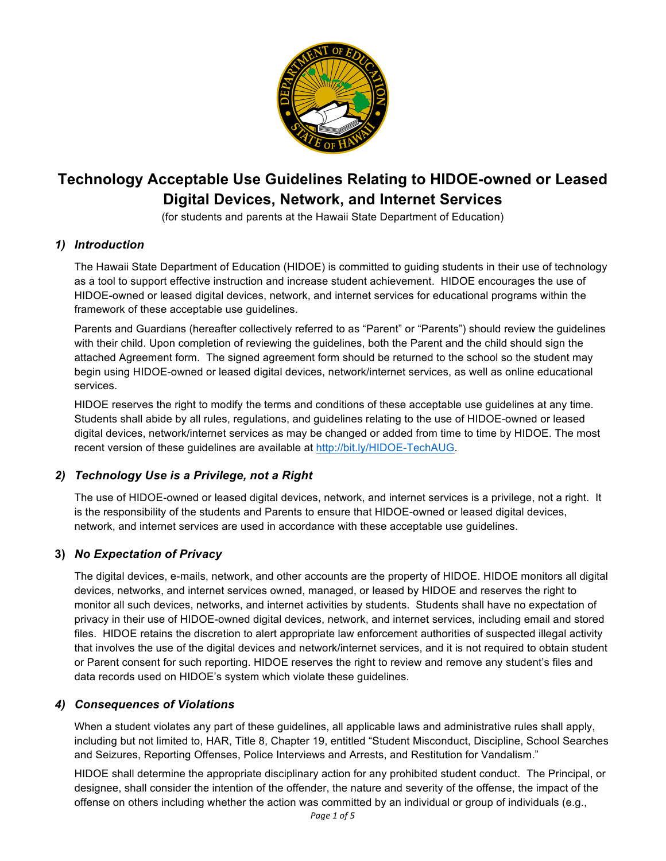

# **Technology Acceptable Use Guidelines Relating to HIDOE-owned or Leased Digital Devices, Network, and Internet Services**

(for students and parents at the Hawaii State Department of Education)

# *1) Introduction*

The Hawaii State Department of Education (HIDOE) is committed to guiding students in their use of technology as a tool to support effective instruction and increase student achievement. HIDOE encourages the use of HIDOE-owned or leased digital devices, network, and internet services for educational programs within the framework of these acceptable use guidelines.

Parents and Guardians (hereafter collectively referred to as "Parent" or "Parents") should review the guidelines with their child. Upon completion of reviewing the guidelines, both the Parent and the child should sign the attached Agreement form. The signed agreement form should be returned to the school so the student may begin using HIDOE-owned or leased digital devices, network/internet services, as well as online educational services.

HIDOE reserves the right to modify the terms and conditions of these acceptable use guidelines at any time. Students shall abide by all rules, regulations, and guidelines relating to the use of HIDOE-owned or leased digital devices, network/internet services as may be changed or added from time to time by HIDOE. The most recent version of these guidelines are available at http://bit.ly/HIDOE-TechAUG.

# *2) Technology Use is a Privilege, not a Right*

The use of HIDOE-owned or leased digital devices, network, and internet services is a privilege, not a right. It is the responsibility of the students and Parents to ensure that HIDOE-owned or leased digital devices, network, and internet services are used in accordance with these acceptable use guidelines.

# **3)** *No Expectation of Privacy*

The digital devices, e-mails, network, and other accounts are the property of HIDOE. HIDOE monitors all digital devices, networks, and internet services owned, managed, or leased by HIDOE and reserves the right to monitor all such devices, networks, and internet activities by students. Students shall have no expectation of privacy in their use of HIDOE-owned digital devices, network, and internet services, including email and stored files. HIDOE retains the discretion to alert appropriate law enforcement authorities of suspected illegal activity that involves the use of the digital devices and network/internet services, and it is not required to obtain student or Parent consent for such reporting. HIDOE reserves the right to review and remove any student's files and data records used on HIDOE's system which violate these guidelines.

# *4) Consequences of Violations*

When a student violates any part of these guidelines, all applicable laws and administrative rules shall apply, including but not limited to, HAR, Title 8, Chapter 19, entitled "Student Misconduct, Discipline, School Searches and Seizures, Reporting Offenses, Police Interviews and Arrests, and Restitution for Vandalism."

HIDOE shall determine the appropriate disciplinary action for any prohibited student conduct. The Principal, or designee, shall consider the intention of the offender, the nature and severity of the offense, the impact of the offense on others including whether the action was committed by an individual or group of individuals (e.g.,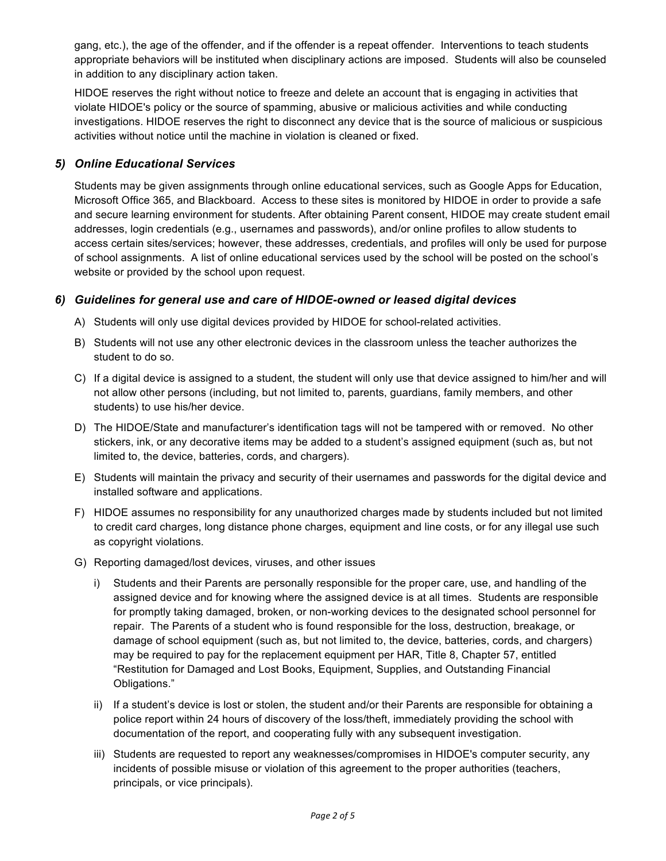gang, etc.), the age of the offender, and if the offender is a repeat offender. Interventions to teach students appropriate behaviors will be instituted when disciplinary actions are imposed. Students will also be counseled in addition to any disciplinary action taken.

HIDOE reserves the right without notice to freeze and delete an account that is engaging in activities that violate HIDOE's policy or the source of spamming, abusive or malicious activities and while conducting investigations. HIDOE reserves the right to disconnect any device that is the source of malicious or suspicious activities without notice until the machine in violation is cleaned or fixed.

# *5) Online Educational Services*

Students may be given assignments through online educational services, such as Google Apps for Education, Microsoft Office 365, and Blackboard. Access to these sites is monitored by HIDOE in order to provide a safe and secure learning environment for students. After obtaining Parent consent, HIDOE may create student email addresses, login credentials (e.g., usernames and passwords), and/or online profiles to allow students to access certain sites/services; however, these addresses, credentials, and profiles will only be used for purpose of school assignments. A list of online educational services used by the school will be posted on the school's website or provided by the school upon request.

#### *6) Guidelines for general use and care of HIDOE-owned or leased digital devices*

- A) Students will only use digital devices provided by HIDOE for school-related activities.
- B) Students will not use any other electronic devices in the classroom unless the teacher authorizes the student to do so.
- C) If a digital device is assigned to a student, the student will only use that device assigned to him/her and will not allow other persons (including, but not limited to, parents, guardians, family members, and other students) to use his/her device.
- D) The HIDOE/State and manufacturer's identification tags will not be tampered with or removed. No other stickers, ink, or any decorative items may be added to a student's assigned equipment (such as, but not limited to, the device, batteries, cords, and chargers).
- E) Students will maintain the privacy and security of their usernames and passwords for the digital device and installed software and applications.
- F) HIDOE assumes no responsibility for any unauthorized charges made by students included but not limited to credit card charges, long distance phone charges, equipment and line costs, or for any illegal use such as copyright violations.
- G) Reporting damaged/lost devices, viruses, and other issues
	- i) Students and their Parents are personally responsible for the proper care, use, and handling of the assigned device and for knowing where the assigned device is at all times. Students are responsible for promptly taking damaged, broken, or non-working devices to the designated school personnel for repair. The Parents of a student who is found responsible for the loss, destruction, breakage, or damage of school equipment (such as, but not limited to, the device, batteries, cords, and chargers) may be required to pay for the replacement equipment per HAR, Title 8, Chapter 57, entitled "Restitution for Damaged and Lost Books, Equipment, Supplies, and Outstanding Financial Obligations."
	- ii) If a student's device is lost or stolen, the student and/or their Parents are responsible for obtaining a police report within 24 hours of discovery of the loss/theft, immediately providing the school with documentation of the report, and cooperating fully with any subsequent investigation.
	- iii) Students are requested to report any weaknesses/compromises in HIDOE's computer security, any incidents of possible misuse or violation of this agreement to the proper authorities (teachers, principals, or vice principals).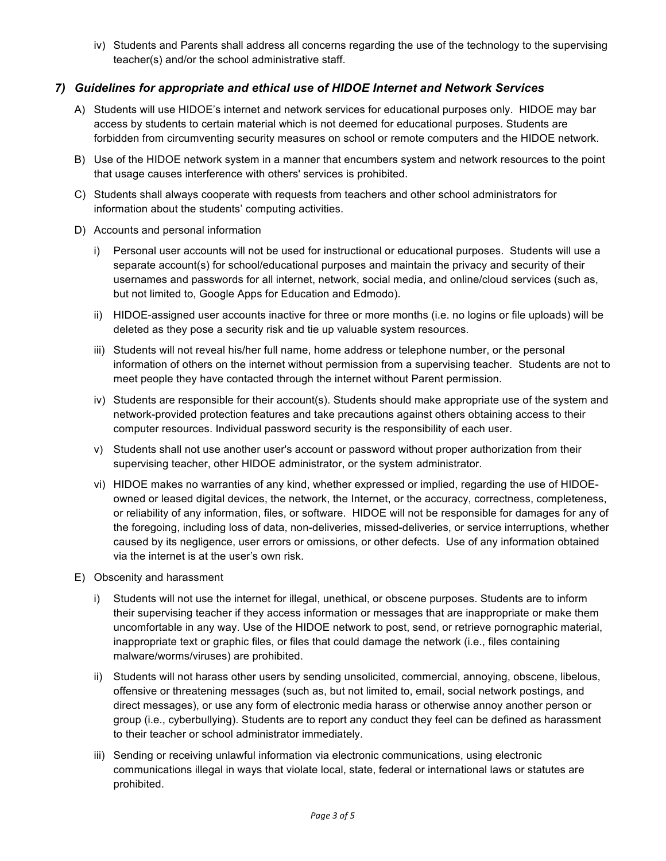iv) Students and Parents shall address all concerns regarding the use of the technology to the supervising teacher(s) and/or the school administrative staff.

# *7) Guidelines for appropriate and ethical use of HIDOE Internet and Network Services*

- A) Students will use HIDOE's internet and network services for educational purposes only. HIDOE may bar access by students to certain material which is not deemed for educational purposes. Students are forbidden from circumventing security measures on school or remote computers and the HIDOE network.
- B) Use of the HIDOE network system in a manner that encumbers system and network resources to the point that usage causes interference with others' services is prohibited.
- C) Students shall always cooperate with requests from teachers and other school administrators for information about the students' computing activities.
- D) Accounts and personal information
	- i) Personal user accounts will not be used for instructional or educational purposes. Students will use a separate account(s) for school/educational purposes and maintain the privacy and security of their usernames and passwords for all internet, network, social media, and online/cloud services (such as, but not limited to, Google Apps for Education and Edmodo).
	- ii) HIDOE-assigned user accounts inactive for three or more months (i.e. no logins or file uploads) will be deleted as they pose a security risk and tie up valuable system resources.
	- iii) Students will not reveal his/her full name, home address or telephone number, or the personal information of others on the internet without permission from a supervising teacher. Students are not to meet people they have contacted through the internet without Parent permission.
	- iv) Students are responsible for their account(s). Students should make appropriate use of the system and network-provided protection features and take precautions against others obtaining access to their computer resources. Individual password security is the responsibility of each user.
	- v) Students shall not use another user's account or password without proper authorization from their supervising teacher, other HIDOE administrator, or the system administrator.
	- vi) HIDOE makes no warranties of any kind, whether expressed or implied, regarding the use of HIDOEowned or leased digital devices, the network, the Internet, or the accuracy, correctness, completeness, or reliability of any information, files, or software. HIDOE will not be responsible for damages for any of the foregoing, including loss of data, non-deliveries, missed-deliveries, or service interruptions, whether caused by its negligence, user errors or omissions, or other defects. Use of any information obtained via the internet is at the user's own risk.
- E) Obscenity and harassment
	- i) Students will not use the internet for illegal, unethical, or obscene purposes. Students are to inform their supervising teacher if they access information or messages that are inappropriate or make them uncomfortable in any way. Use of the HIDOE network to post, send, or retrieve pornographic material, inappropriate text or graphic files, or files that could damage the network (i.e., files containing malware/worms/viruses) are prohibited.
	- ii) Students will not harass other users by sending unsolicited, commercial, annoying, obscene, libelous, offensive or threatening messages (such as, but not limited to, email, social network postings, and direct messages), or use any form of electronic media harass or otherwise annoy another person or group (i.e., cyberbullying). Students are to report any conduct they feel can be defined as harassment to their teacher or school administrator immediately.
	- iii) Sending or receiving unlawful information via electronic communications, using electronic communications illegal in ways that violate local, state, federal or international laws or statutes are prohibited.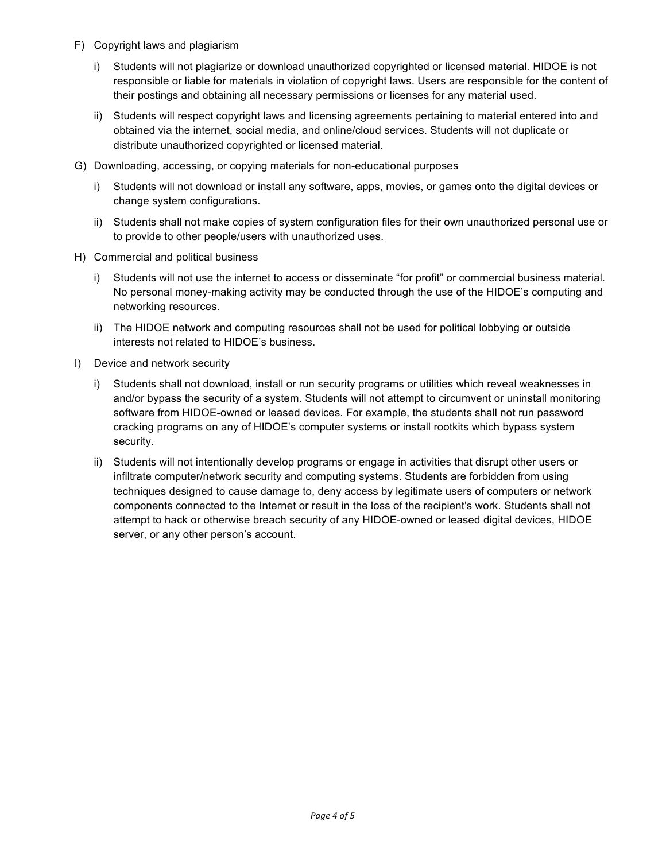- F) Copyright laws and plagiarism
	- i) Students will not plagiarize or download unauthorized copyrighted or licensed material. HIDOE is not responsible or liable for materials in violation of copyright laws. Users are responsible for the content of their postings and obtaining all necessary permissions or licenses for any material used.
	- ii) Students will respect copyright laws and licensing agreements pertaining to material entered into and obtained via the internet, social media, and online/cloud services. Students will not duplicate or distribute unauthorized copyrighted or licensed material.
- G) Downloading, accessing, or copying materials for non-educational purposes
	- i) Students will not download or install any software, apps, movies, or games onto the digital devices or change system configurations.
	- ii) Students shall not make copies of system configuration files for their own unauthorized personal use or to provide to other people/users with unauthorized uses.
- H) Commercial and political business
	- i) Students will not use the internet to access or disseminate "for profit" or commercial business material. No personal money-making activity may be conducted through the use of the HIDOE's computing and networking resources.
	- ii) The HIDOE network and computing resources shall not be used for political lobbying or outside interests not related to HIDOE's business.
- I) Device and network security
	- i) Students shall not download, install or run security programs or utilities which reveal weaknesses in and/or bypass the security of a system. Students will not attempt to circumvent or uninstall monitoring software from HIDOE-owned or leased devices. For example, the students shall not run password cracking programs on any of HIDOE's computer systems or install rootkits which bypass system security.
	- ii) Students will not intentionally develop programs or engage in activities that disrupt other users or infiltrate computer/network security and computing systems. Students are forbidden from using techniques designed to cause damage to, deny access by legitimate users of computers or network components connected to the Internet or result in the loss of the recipient's work. Students shall not attempt to hack or otherwise breach security of any HIDOE-owned or leased digital devices, HIDOE server, or any other person's account.